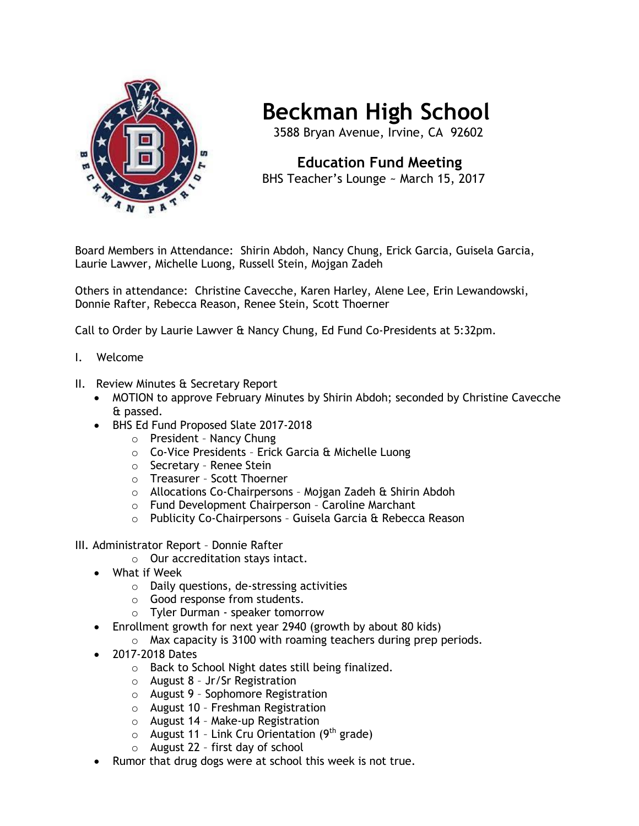

## **Beckman High School**

3588 Bryan Avenue, Irvine, CA 92602

## **Education Fund Meeting** BHS Teacher's Lounge ~ March 15, 2017

Board Members in Attendance: Shirin Abdoh, Nancy Chung, Erick Garcia, Guisela Garcia, Laurie Lawver, Michelle Luong, Russell Stein, Mojgan Zadeh

Others in attendance: Christine Cavecche, Karen Harley, Alene Lee, Erin Lewandowski, Donnie Rafter, Rebecca Reason, Renee Stein, Scott Thoerner

Call to Order by Laurie Lawver & Nancy Chung, Ed Fund Co-Presidents at 5:32pm.

- I. Welcome
- II. Review Minutes & Secretary Report
	- MOTION to approve February Minutes by Shirin Abdoh; seconded by Christine Cavecche & passed.
	- BHS Ed Fund Proposed Slate 2017-2018
		- o President Nancy Chung
		- o Co-Vice Presidents Erick Garcia & Michelle Luong
		- o Secretary Renee Stein
		- o Treasurer Scott Thoerner
		- o Allocations Co-Chairpersons Mojgan Zadeh & Shirin Abdoh
		- o Fund Development Chairperson Caroline Marchant
		- o Publicity Co-Chairpersons Guisela Garcia & Rebecca Reason
- III. Administrator Report Donnie Rafter
	- o Our accreditation stays intact.
	- What if Week
		- o Daily questions, de-stressing activities
		- o Good response from students.
		- o Tyler Durman speaker tomorrow
	- Enrollment growth for next year 2940 (growth by about 80 kids)
		- o Max capacity is 3100 with roaming teachers during prep periods.
	- 2017-2018 Dates
		- o Back to School Night dates still being finalized.
		- o August 8 Jr/Sr Registration
		- o August 9 Sophomore Registration
		- o August 10 Freshman Registration
		- o August 14 Make-up Registration
		- $\circ$  August 11 Link Cru Orientation (9<sup>th</sup> grade)
		- o August 22 first day of school
	- Rumor that drug dogs were at school this week is not true.